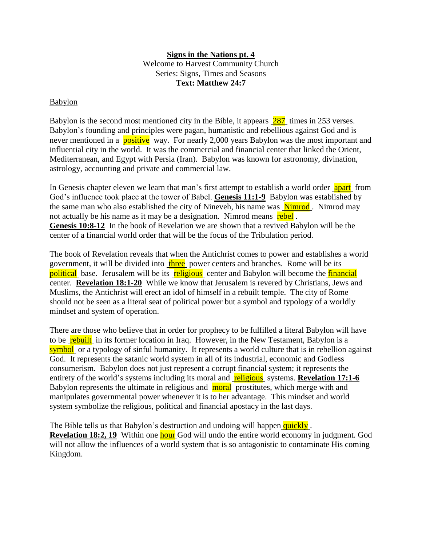## **Signs in the Nations pt. 4**

Welcome to Harvest Community Church Series: Signs, Times and Seasons **Text: Matthew 24:7**

## Babylon

Babylon is the second most mentioned city in the Bible, it appears 287 times in 253 verses. Babylon's founding and principles were pagan, humanistic and rebellious against God and is never mentioned in a **positive** way. For nearly 2,000 years Babylon was the most important and influential city in the world. It was the commercial and financial center that linked the Orient, Mediterranean, and Egypt with Persia (Iran). Babylon was known for astronomy, divination, astrology, accounting and private and commercial law.

In Genesis chapter eleven we learn that man's first attempt to establish a world order apart from God's influence took place at the tower of Babel. **Genesis 11:1-9** Babylon was established by the same man who also established the city of Nineveh, his name was **Nimrod**. Nimrod may not actually be his name as it may be a designation. Nimrod means rebel. **Genesis 10:8-12** In the book of Revelation we are shown that a revived Babylon will be the center of a financial world order that will be the focus of the Tribulation period.

The book of Revelation reveals that when the Antichrist comes to power and establishes a world government, it will be divided into three power centers and branches. Rome will be its political base. Jerusalem will be its religious center and Babylon will become the *financial* center. **Revelation 18:1-20** While we know that Jerusalem is revered by Christians, Jews and Muslims, the Antichrist will erect an idol of himself in a rebuilt temple. The city of Rome should not be seen as a literal seat of political power but a symbol and typology of a worldly mindset and system of operation.

There are those who believe that in order for prophecy to be fulfilled a literal Babylon will have to be rebuilt in its former location in Iraq. However, in the New Testament, Babylon is a symbol or a typology of sinful humanity. It represents a world culture that is in rebellion against God. It represents the satanic world system in all of its industrial, economic and Godless consumerism. Babylon does not just represent a corrupt financial system; it represents the entirety of the world's systems including its moral and **religious** systems. **Revelation 17:1-6** Babylon represents the ultimate in religious and **moral** prostitutes, which merge with and manipulates governmental power whenever it is to her advantage. This mindset and world system symbolize the religious, political and financial apostacy in the last days.

The Bible tells us that Babylon's destruction and undoing will happen quickly. **Revelation 18:2, 19** Within one **hour** God will undo the entire world economy in judgment. God will not allow the influences of a world system that is so antagonistic to contaminate His coming Kingdom.